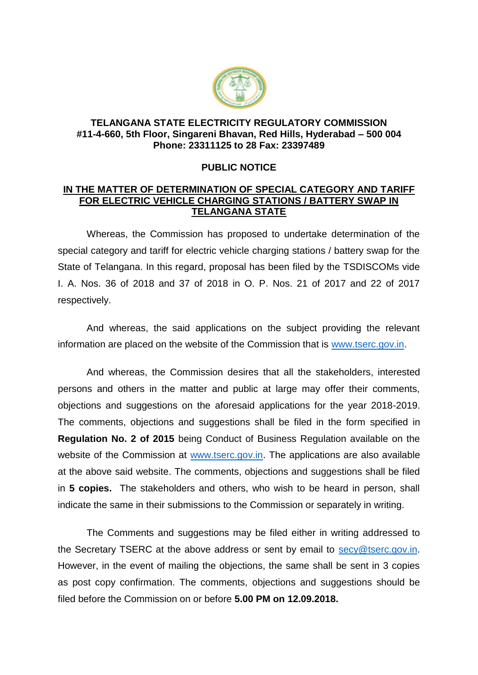

## **TELANGANA STATE ELECTRICITY REGULATORY COMMISSION #11-4-660, 5th Floor, Singareni Bhavan, Red Hills, Hyderabad – 500 004 Phone: 23311125 to 28 Fax: 23397489**

## **PUBLIC NOTICE**

## **IN THE MATTER OF DETERMINATION OF SPECIAL CATEGORY AND TARIFF FOR ELECTRIC VEHICLE CHARGING STATIONS / BATTERY SWAP IN TELANGANA STATE**

Whereas, the Commission has proposed to undertake determination of the special category and tariff for electric vehicle charging stations / battery swap for the State of Telangana. In this regard, proposal has been filed by the TSDISCOMs vide I. A. Nos. 36 of 2018 and 37 of 2018 in O. P. Nos. 21 of 2017 and 22 of 2017 respectively.

And whereas, the said applications on the subject providing the relevant information are placed on the website of the Commission that is [www.tserc.gov.in.](http://www.tserc.gov.in/)

And whereas, the Commission desires that all the stakeholders, interested persons and others in the matter and public at large may offer their comments, objections and suggestions on the aforesaid applications for the year 2018-2019. The comments, objections and suggestions shall be filed in the form specified in **Regulation No. 2 of 2015** being Conduct of Business Regulation available on the website of the Commission at [www.tserc.gov.in.](http://www.tserc.gov.in/) The applications are also available at the above said website. The comments, objections and suggestions shall be filed in **5 copies.** The stakeholders and others, who wish to be heard in person, shall indicate the same in their submissions to the Commission or separately in writing.

The Comments and suggestions may be filed either in writing addressed to the Secretary TSERC at the above address or sent by email to [secy@tserc.gov.in.](mailto:secy@tserc.gov.in) However, in the event of mailing the objections, the same shall be sent in 3 copies as post copy confirmation. The comments, objections and suggestions should be filed before the Commission on or before **5.00 PM on 12.09.2018.**